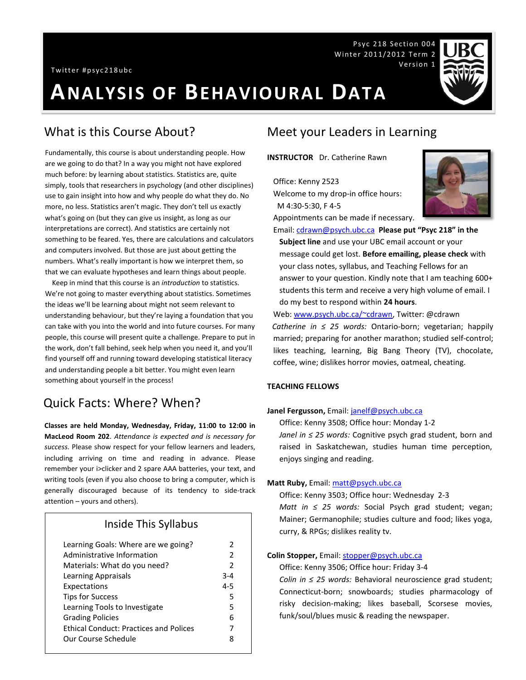# **ANALYSIS OF BEHAVIOURAL DATA**

# What is this Course About?

Fundamentally, this course is about understanding people. How are we going to do that? In a way you might not have explored much before: by learning about statistics. Statistics are, quite simply, tools that researchers in psychology (and other disciplines) use to gain insight into how and why people do what they do. No more, no less. Statistics aren't magic. They don't tell us exactly what's going on (but they can give us insight, as long as our interpretations are correct). And statistics are certainly not something to be feared. Yes, there are calculations and calculators and computers involved. But those are just about getting the numbers. What's really important is how we interpret them, so that we can evaluate hypotheses and learn things about people.

 Keep in mind that this course is an *introduction* to statistics. We're not going to master everything about statistics. Sometimes the ideas we'll be learning about might not seem relevant to understanding behaviour, but they're laying a foundation that you can take with you into the world and into future courses. For many people, this course will present quite a challenge. Prepare to put in the work, don't fall behind, seek help when you need it, and you'll find yourself off and running toward developing statistical literacy and understanding people a bit better. You might even learn something about yourself in the process!

# Quick Facts: Where? When?

**Classes are held Monday, Wednesday, Friday, 11:00 to 12:00 in MacLeod Room 202**. *Attendance is expected and is necessary for success*. Please show respect for your fellow learners and leaders, including arriving on time and reading in advance. Please remember your i>clicker and 2 spare AAA batteries, your text, and writing tools (even if you also choose to bring a computer, which is generally discouraged because of its tendency to side-track attention – yours and others).

### Inside This Syllabus

| Learning Goals: Where are we going?           | 2              |
|-----------------------------------------------|----------------|
| Administrative Information                    | $\mathcal{P}$  |
| Materials: What do you need?                  | $\overline{2}$ |
| Learning Appraisals                           | $3 - 4$        |
| Expectations                                  | $4 - 5$        |
| <b>Tips for Success</b>                       | 5              |
| Learning Tools to Investigate                 | 5              |
| <b>Grading Policies</b>                       | 6              |
| <b>Ethical Conduct: Practices and Polices</b> | 7              |
| Our Course Schedule                           | 8              |
|                                               |                |

# Meet your Leaders in Learning

**INSTRUCTOR** Dr. Catherine Rawn

Office: Kenny 2523 Welcome to my drop-in office hours: M 4:30-5:30, F 4-5

Appointments can be made if necessary.

Email[: cdrawn@psych.ubc.ca](mailto:cdrawn@psych.ubc.ca) **Please put "Psyc 218" in the Subject line** and use your UBC email account or your message could get lost. **Before emailing, please check** with your class notes, syllabus, and Teaching Fellows for an answer to your question. Kindly note that I am teaching 600+ students this term and receive a very high volume of email. I do my best to respond within **24 hours**.

Web: [www.psych.ubc.ca/~cdrawn,](http://www.psych.ubc.ca/~cdrawn) Twitter: @cdrawn *Catherine in ≤ 25 words:* Ontario-born; vegetarian; happily married; preparing for another marathon; studied self-control; likes teaching, learning, Big Bang Theory (TV), chocolate, coffee, wine; dislikes horror movies, oatmeal, cheating.

#### **TEACHING FELLOWS**

### **Janel Fergusson,** Email[: janelf@psych.ubc.ca](mailto:janelf@psych.ubc.ca)

Office: Kenny 3508; Office hour: Monday 1-2

*Janel in ≤ 25 words:* Cognitive psych grad student, born and raised in Saskatchewan, studies human time perception, enjoys singing and reading.

#### **Matt Ruby,** Email: [matt@psych.ubc.ca](mailto:mlcrease@psych.ubc.ca)

Office: Kenny 3503; Office hour: Wednesday 2-3

*Matt in ≤ 25 words:* Social Psych grad student; vegan; Mainer; Germanophile; studies culture and food; likes yoga, curry, & RPGs; dislikes reality tv.

#### **Colin Stopper,** Email: [stopper@psych.ubc.ca](mailto:stopper@psych.ubc.ca)

Office: Kenny 3506; Office hour: Friday 3-4

*Colin in ≤ 25 words:* Behavioral neuroscience grad student; Connecticut-born; snowboards; studies pharmacology of risky decision-making; likes baseball, Scorsese movies, funk/soul/blues music & reading the newspaper.

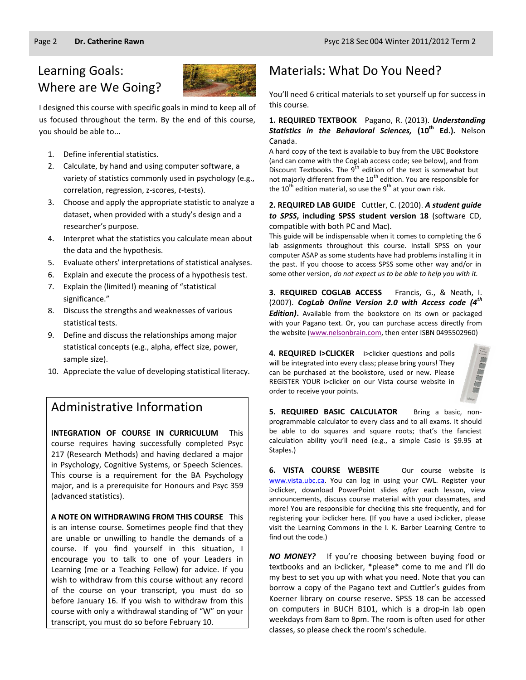# Learning Goals: Where are We Going?



I designed this course with specific goals in mind to keep all of us focused throughout the term. By the end of this course, you should be able to...

- 1. Define inferential statistics.
- 2. Calculate, by hand and using computer software, a variety of statistics commonly used in psychology (e.g., correlation, regression, z-scores, *t*-tests).
- 3. Choose and apply the appropriate statistic to analyze a dataset, when provided with a study's design and a researcher's purpose.
- 4. Interpret what the statistics you calculate mean about the data and the hypothesis.
- 5. Evaluate others' interpretations of statistical analyses.
- 6. Explain and execute the process of a hypothesis test.
- 7. Explain the (limited!) meaning of "statistical significance."
- 8. Discuss the strengths and weaknesses of various statistical tests.
- 9. Define and discuss the relationships among major statistical concepts (e.g., alpha, effect size, power, sample size).
- 10. Appreciate the value of developing statistical literacy.

# Administrative Information

**INTEGRATION OF COURSE IN CURRICULUM** This course requires having successfully completed Psyc 217 (Research Methods) and having declared a major in Psychology, Cognitive Systems, or Speech Sciences. This course is a requirement for the BA Psychology major, and is a prerequisite for Honours and Psyc 359 (advanced statistics).

**A NOTE ON WITHDRAWING FROM THIS COURSE** This is an intense course. Sometimes people find that they are unable or unwilling to handle the demands of a course. If you find yourself in this situation, I encourage you to talk to one of your Leaders in Learning (me or a Teaching Fellow) for advice. If you wish to withdraw from this course without any record of the course on your transcript, you must do so before January 16. If you wish to withdraw from this course with only a withdrawal standing of "W" on your transcript, you must do so before February 10.

# Materials: What Do You Need?

You'll need 6 critical materials to set yourself up for success in this course.

#### **1. REQUIRED TEXTBOOK** Pagano, R. (2013). *Understanding Statistics in the Behavioral Sciences,* **(10th Ed.).** Nelson Canada.

A hard copy of the text is available to buy from the UBC Bookstore (and can come with the CogLab access code; see below), and from Discount Textbooks. The  $9^{th}$  edition of the text is somewhat but not majorly different from the  $10<sup>th</sup>$  edition. You are responsible for the  $10^{th}$  edition material, so use the  $9^{th}$  at your own risk.

#### **2. REQUIRED LAB GUIDE** Cuttler, C. (2010). *A student guide to SPSS***, including SPSS student version 18** (software CD, compatible with both PC and Mac).

This guide will be indispensable when it comes to completing the 6 lab assignments throughout this course. Install SPSS on your computer ASAP as some students have had problems installing it in the past. If you choose to access SPSS some other way and/or in some other version, *do not expect us to be able to help you with it.*

**3. REQUIRED COGLAB ACCESS** Francis, G., & Neath, I. (2007). *CogLab Online Version 2.0 with Access code (4th Edition)***.** Available from the bookstore on its own or packaged with your Pagano text. Or, you can purchase access directly from the website [\(www.nelsonbrain.com,](http://www.nelsonbrain.com/) then enter ISBN 0495502960)

**4. REQUIRED I>CLICKER** i>clicker questions and polls will be integrated into every class; please bring yours! They can be purchased at the bookstore, used or new. Please REGISTER YOUR i>clicker on our Vista course website in order to receive your points.



**5. REQUIRED BASIC CALCULATOR** Bring a basic, nonprogrammable calculator to every class and to all exams. It should be able to do squares and square roots; that's the fanciest calculation ability you'll need (e.g., a simple Casio is \$9.95 at Staples.)

**6. VISTA COURSE WEBSITE** Our course website is [www.vista.ubc.ca.](http://www.vista.ubc.ca/) You can log in using your CWL. Register your i>clicker, download PowerPoint slides *after* each lesson, view announcements, discuss course material with your classmates, and more! You are responsible for checking this site frequently, and for registering your i>clicker here. (If you have a used i>clicker, please visit the Learning Commons in the I. K. Barber Learning Centre to find out the code.)

*NO MONEY?* If you're choosing between buying food or textbooks and an i>clicker, \*please\* come to me and I'll do my best to set you up with what you need. Note that you can borrow a copy of the Pagano text and Cuttler's guides from Koerner library on course reserve. SPSS 18 can be accessed on computers in BUCH B101, which is a drop-in lab open weekdays from 8am to 8pm. The room is often used for other classes, so please check the room's schedule.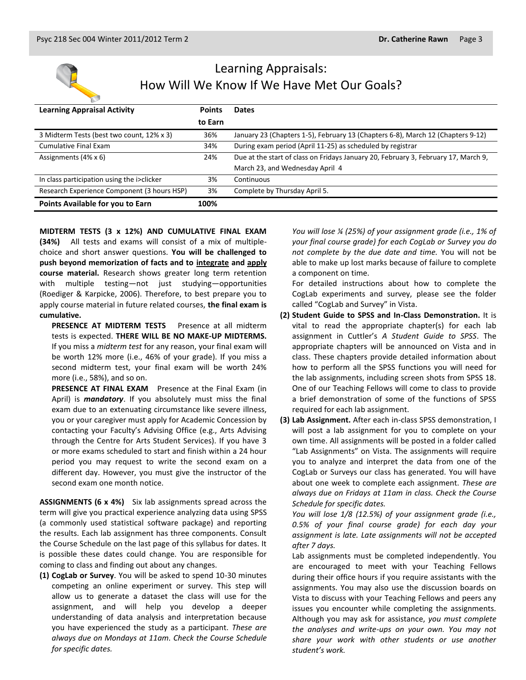

# Learning Appraisals: How Will We Know If We Have Met Our Goals?

| <b>Learning Appraisal Activity</b>          | <b>Points</b> | <b>Dates</b>                                                                       |
|---------------------------------------------|---------------|------------------------------------------------------------------------------------|
|                                             | to Earn       |                                                                                    |
| 3 Midterm Tests (best two count, 12% x 3)   | 36%           | January 23 (Chapters 1-5), February 13 (Chapters 6-8), March 12 (Chapters 9-12)    |
| Cumulative Final Exam                       | 34%           | During exam period (April 11-25) as scheduled by registrar                         |
| Assignments $(4\% \times 6)$                | 24%           | Due at the start of class on Fridays January 20, February 3, February 17, March 9, |
|                                             |               | March 23, and Wednesday April 4                                                    |
| In class participation using the i>clicker  | 3%            | Continuous                                                                         |
| Research Experience Component (3 hours HSP) | 3%            | Complete by Thursday April 5.                                                      |
| Points Available for you to Earn            | 100%          |                                                                                    |

**MIDTERM TESTS (3 x 12%) AND CUMULATIVE FINAL EXAM (34%)** All tests and exams will consist of a mix of multiplechoice and short answer questions. **You will be challenged to push beyond memorization of facts and to integrate and apply course material.** Research shows greater long term retention with multiple testing—not just studying—opportunities (Roediger & Karpicke, 2006). Therefore, to best prepare you to apply course material in future related courses, **the final exam is cumulative.**

**PRESENCE AT MIDTERM TESTS** Presence at all midterm tests is expected. **THERE WILL BE NO MAKE-UP MIDTERMS.** If you miss a *midterm test* for any reason, your final exam will be worth 12% more (i.e., 46% of your grade). If you miss a second midterm test, your final exam will be worth 24% more (i.e., 58%), and so on.

**PRESENCE AT FINAL EXAM** Presence at the Final Exam (in April) is *mandatory*. If you absolutely must miss the final exam due to an extenuating circumstance like severe illness, you or your caregiver must apply for Academic Concession by contacting your Faculty's Advising Office (e.g., Arts Advising through the Centre for Arts Student Services). If you have 3 or more exams scheduled to start and finish within a 24 hour period you may request to write the second exam on a different day. However, you must give the instructor of the second exam one month notice.

**ASSIGNMENTS (6 x 4%)** Six lab assignments spread across the term will give you practical experience analyzing data using SPSS (a commonly used statistical software package) and reporting the results. Each lab assignment has three components. Consult the Course Schedule on the last page of this syllabus for dates. It is possible these dates could change. You are responsible for coming to class and finding out about any changes.

**(1) CogLab or Survey**. You will be asked to spend 10-30 minutes competing an online experiment or survey. This step will allow us to generate a dataset the class will use for the assignment, and will help you develop a deeper understanding of data analysis and interpretation because you have experienced the study as a participant. *These are always due on Mondays at 11am. Check the Course Schedule for specific dates.*

*You will lose ¼ (25%) of your assignment grade (i.e., 1% of your final course grade) for each CogLab or Survey you do not complete by the due date and time.* You will not be able to make up lost marks because of failure to complete a component on time.

For detailed instructions about how to complete the CogLab experiments and survey, please see the folder called "CogLab and Survey" in Vista.

- **(2) Student Guide to SPSS and In-Class Demonstration.** It is vital to read the appropriate chapter(s) for each lab assignment in Cuttler's *A Student Guide to SPSS*. The appropriate chapters will be announced on Vista and in class. These chapters provide detailed information about how to perform all the SPSS functions you will need for the lab assignments, including screen shots from SPSS 18. One of our Teaching Fellows will come to class to provide a brief demonstration of some of the functions of SPSS required for each lab assignment.
- **(3) Lab Assignment.** After each in-class SPSS demonstration, I will post a lab assignment for you to complete on your own time. All assignments will be posted in a folder called "Lab Assignments" on Vista. The assignments will require you to analyze and interpret the data from one of the CogLab or Surveys our class has generated. You will have about one week to complete each assignment. *These are always due on Fridays at 11am in class. Check the Course Schedule for specific dates.*

*You will lose 1/8 (12.5%) of your assignment grade (i.e., 0.5% of your final course grade) for each day your assignment is late. Late assignments will not be accepted after 7 days.*

Lab assignments must be completed independently. You are encouraged to meet with your Teaching Fellows during their office hours if you require assistants with the assignments. You may also use the discussion boards on Vista to discuss with your Teaching Fellows and peers any issues you encounter while completing the assignments. Although you may ask for assistance, *you must complete the analyses and write-ups on your own. You may not share your work with other students or use another student's work.*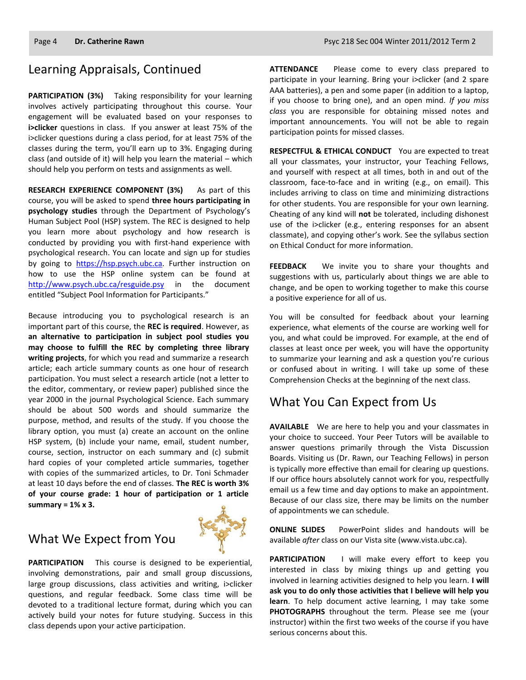# Learning Appraisals, Continued

**PARTICIPATION (3%)** Taking responsibility for your learning involves actively participating throughout this course. Your engagement will be evaluated based on your responses to **i>clicker** questions in class. If you answer at least 75% of the i>clicker questions during a class period, for at least 75% of the classes during the term, you'll earn up to 3%. Engaging during class (and outside of it) will help you learn the material – which should help you perform on tests and assignments as well.

**RESEARCH EXPERIENCE COMPONENT (3%)** As part of this course, you will be asked to spend **three hours participating in psychology studies** through the Department of Psychology's Human Subject Pool (HSP) system. The REC is designed to help you learn more about psychology and how research is conducted by providing you with first-hand experience with psychological research. You can locate and sign up for studies by going to [https://hsp.psych.ubc.ca.](https://hsp.psych.ubc.ca/) Further instruction on how to use the HSP online system can be found at <http://www.psych.ubc.ca/resguide.psy> in the document entitled "Subject Pool Information for Participants."

Because introducing you to psychological research is an important part of this course, the **REC is required**. However, as **an alternative to participation in subject pool studies you may choose to fulfill the REC by completing three library writing projects**, for which you read and summarize a research article; each article summary counts as one hour of research participation. You must select a research article (not a letter to the editor, commentary, or review paper) published since the year 2000 in the journal Psychological Science. Each summary should be about 500 words and should summarize the purpose, method, and results of the study. If you choose the library option, you must (a) create an account on the online HSP system, (b) include your name, email, student number, course, section, instructor on each summary and (c) submit hard copies of your completed article summaries, together with copies of the summarized articles, to Dr. Toni Schmader at least 10 days before the end of classes. **The REC is worth 3% of your course grade: 1 hour of participation or 1 article summary = 1% x 3.**

# What We Expect from You



**PARTICIPATION** This course is designed to be experiential, involving demonstrations, pair and small group discussions, large group discussions, class activities and writing, i>clicker questions, and regular feedback. Some class time will be devoted to a traditional lecture format, during which you can actively build your notes for future studying. Success in this class depends upon your active participation.

**ATTENDANCE** Please come to every class prepared to participate in your learning. Bring your i>clicker (and 2 spare AAA batteries), a pen and some paper (in addition to a laptop, if you choose to bring one), and an open mind. *If you miss class* you are responsible for obtaining missed notes and important announcements. You will not be able to regain participation points for missed classes.

**RESPECTFUL & ETHICAL CONDUCT** You are expected to treat all your classmates, your instructor, your Teaching Fellows, and yourself with respect at all times, both in and out of the classroom, face-to-face and in writing (e.g., on email). This includes arriving to class on time and minimizing distractions for other students. You are responsible for your own learning. Cheating of any kind will **not** be tolerated, including dishonest use of the i>clicker (e.g., entering responses for an absent classmate), and copying other's work. See the syllabus section on Ethical Conduct for more information.

**FEEDBACK** We invite you to share your thoughts and suggestions with us, particularly about things we are able to change, and be open to working together to make this course a positive experience for all of us.

You will be consulted for feedback about your learning experience, what elements of the course are working well for you, and what could be improved. For example, at the end of classes at least once per week, you will have the opportunity to summarize your learning and ask a question you're curious or confused about in writing. I will take up some of these Comprehension Checks at the beginning of the next class.

## What You Can Expect from Us

**AVAILABLE** We are here to help you and your classmates in your choice to succeed. Your Peer Tutors will be available to answer questions primarily through the Vista Discussion Boards. Visiting us (Dr. Rawn, our Teaching Fellows) in person is typically more effective than email for clearing up questions. If our office hours absolutely cannot work for you, respectfully email us a few time and day options to make an appointment. Because of our class size, there may be limits on the number of appointments we can schedule.

**ONLINE SLIDES** PowerPoint slides and handouts will be available *after* class on our Vista site (www.vista.ubc.ca).

**PARTICIPATION** I will make every effort to keep you interested in class by mixing things up and getting you involved in learning activities designed to help you learn. **I will ask you to do only those activities that I believe will help you learn**. To help document active learning, I may take some **PHOTOGRAPHS** throughout the term. Please see me (your instructor) within the first two weeks of the course if you have serious concerns about this.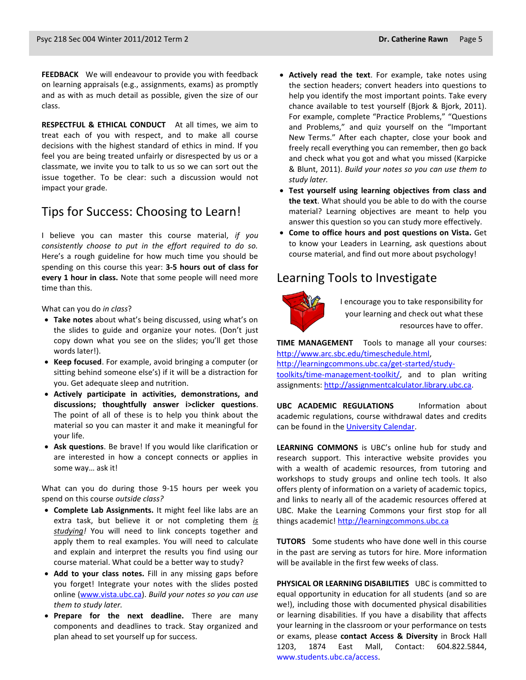**FEEDBACK** We will endeavour to provide you with feedback on learning appraisals (e.g., assignments, exams) as promptly and as with as much detail as possible, given the size of our class.

**RESPECTFUL & ETHICAL CONDUCT** At all times, we aim to treat each of you with respect, and to make all course decisions with the highest standard of ethics in mind. If you feel you are being treated unfairly or disrespected by us or a classmate, we invite you to talk to us so we can sort out the issue together. To be clear: such a discussion would not impact your grade.

## Tips for Success: Choosing to Learn!

I believe you can master this course material, *if you consistently choose to put in the effort required to do so.* Here's a rough guideline for how much time you should be spending on this course this year: **3-5 hours out of class for every 1 hour in class.** Note that some people will need more time than this.

What can you do *in class*?

- **Take notes** about what's being discussed, using what's on the slides to guide and organize your notes. (Don't just copy down what you see on the slides; you'll get those words later!).
- **Keep focused**. For example, avoid bringing a computer (or sitting behind someone else's) if it will be a distraction for you. Get adequate sleep and nutrition.
- **Actively participate in activities, demonstrations, and discussions; thoughtfully answer i>clicker questions**. The point of all of these is to help you think about the material so you can master it and make it meaningful for your life.
- **Ask questions**. Be brave! If you would like clarification or are interested in how a concept connects or applies in some way… ask it!

What can you do during those 9-15 hours per week you spend on this course *outside class?*

- **Complete Lab Assignments.** It might feel like labs are an extra task, but believe it or not completing them *is studying!* You will need to link concepts together and apply them to real examples. You will need to calculate and explain and interpret the results you find using our course material. What could be a better way to study?
- **Add to your class notes.** Fill in any missing gaps before you forget! Integrate your notes with the slides posted online [\(www.vista.ubc.ca\)](http://www.vista.ubc.ca/). *Build your notes so you can use them to study later.*
- **Prepare for the next deadline.** There are many components and deadlines to track. Stay organized and plan ahead to set yourself up for success.
- **Actively read the text**. For example, take notes using the section headers; convert headers into questions to help you identify the most important points. Take every chance available to test yourself (Bjork & Bjork, 2011). For example, complete "Practice Problems," "Questions and Problems," and quiz yourself on the "Important New Terms." After each chapter, close your book and freely recall everything you can remember, then go back and check what you got and what you missed (Karpicke & Blunt, 2011). *Build your notes so you can use them to study later.*
- **Test yourself using learning objectives from class and the text**. What should you be able to do with the course material? Learning objectives are meant to help you answer this question so you can study more effectively.
- **Come to office hours and post questions on Vista.** Get to know your Leaders in Learning, ask questions about course material, and find out more about psychology!

## Learning Tools to Investigate



I encourage you to take responsibility for your learning and check out what these resources have to offer.

**TIME MANAGEMENT** Tools to manage all your courses: [http://www.arc.sbc.edu/timeschedule.html,](http://www.arc.sbc.edu/timeschedule.html)

[http://learningcommons.ubc.ca/get-started/study](http://learningcommons.ubc.ca/get-started/study-toolkits/time-management-toolkit/)[toolkits/time-management-toolkit/,](http://learningcommons.ubc.ca/get-started/study-toolkits/time-management-toolkit/) and to plan writing assignments[: http://assignmentcalculator.library.ubc.ca.](http://assignmentcalculator.library.ubc.ca/)

**UBC ACADEMIC REGULATIONS** Information about academic regulations, course withdrawal dates and credits can be found in th[e University Calendar.](http://students.ubc.ca/calendar/academicyear.cfm)

**LEARNING COMMONS** is UBC's online hub for study and research support. This interactive website provides you with a wealth of academic resources, from tutoring and workshops to study groups and online tech tools. It also offers plenty of information on a variety of academic topics, and links to nearly all of the academic resources offered at UBC. Make the Learning Commons your first stop for all things academic! [http://learningcommons.ubc.ca](http://learningcommons.ubc.ca/)

**TUTORS** Some students who have done well in this course in the past are serving as tutors for hire. More information will be available in the first few weeks of class.

**PHYSICAL OR LEARNING DISABILITIES** UBC is committed to equal opportunity in education for all students (and so are we!), including those with documented physical disabilities or learning disabilities. If you have a disability that affects your learning in the classroom or your performance on tests or exams, please **contact Access & Diversity** in Brock Hall 1203, 1874 East Mall, Contact: 604.822.5844, [www.students.ubc.ca/access.](http://www.students.ubc.ca/access)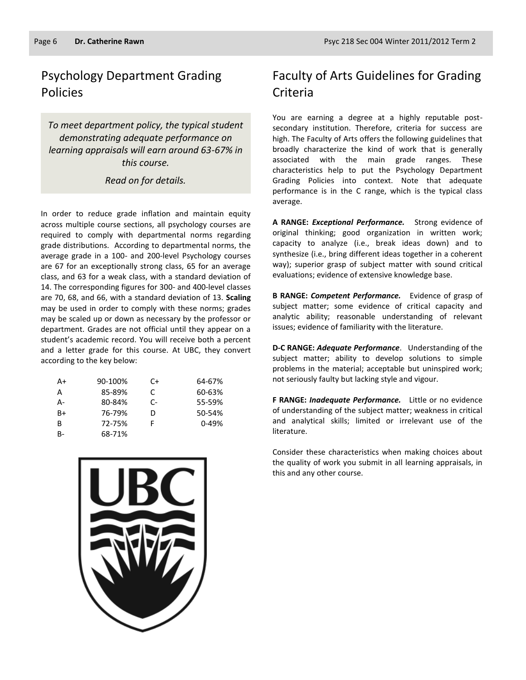# Psychology Department Grading Policies

*To meet department policy, the typical student demonstrating adequate performance on learning appraisals will earn around 63-67% in this course.* 

*Read on for details.*

In order to reduce grade inflation and maintain equity across multiple course sections, all psychology courses are required to comply with departmental norms regarding grade distributions. According to departmental norms, the average grade in a 100- and 200-level Psychology courses are 67 for an exceptionally strong class, 65 for an average class, and 63 for a weak class, with a standard deviation of 14. The corresponding figures for 300- and 400-level classes are 70, 68, and 66, with a standard deviation of 13. **Scaling** may be used in order to comply with these norms; grades may be scaled up or down as necessary by the professor or department. Grades are not official until they appear on a student's academic record. You will receive both a percent and a letter grade for this course. At UBC, they convert according to the key below:

| A+ | 90-100% | C+   | 64-67%    |
|----|---------|------|-----------|
| А  | 85-89%  | C    | 60-63%    |
| А- | 80-84%  | $C-$ | 55-59%    |
| B+ | 76-79%  | D    | 50-54%    |
| в  | 72-75%  | F    | $0 - 49%$ |
| R- | 68-71%  |      |           |



# Faculty of Arts Guidelines for Grading Criteria

You are earning a degree at a highly reputable postsecondary institution. Therefore, criteria for success are high. The Faculty of Arts offers the following guidelines that broadly characterize the kind of work that is generally associated with the main grade ranges. These characteristics help to put the Psychology Department Grading Policies into context. Note that adequate performance is in the C range, which is the typical class average.

**A RANGE:** *Exceptional Performance.* Strong evidence of original thinking; good organization in written work; capacity to analyze (i.e., break ideas down) and to synthesize (i.e., bring different ideas together in a coherent way); superior grasp of subject matter with sound critical evaluations; evidence of extensive knowledge base.

**B RANGE:** *Competent Performance.* Evidence of grasp of subject matter; some evidence of critical capacity and analytic ability; reasonable understanding of relevant issues; evidence of familiarity with the literature.

**D-C RANGE:** *Adequate Performance*. Understanding of the subject matter; ability to develop solutions to simple problems in the material; acceptable but uninspired work; not seriously faulty but lacking style and vigour.

**F RANGE:** *Inadequate Performance.* Little or no evidence of understanding of the subject matter; weakness in critical and analytical skills; limited or irrelevant use of the literature.

Consider these characteristics when making choices about the quality of work you submit in all learning appraisals, in this and any other course.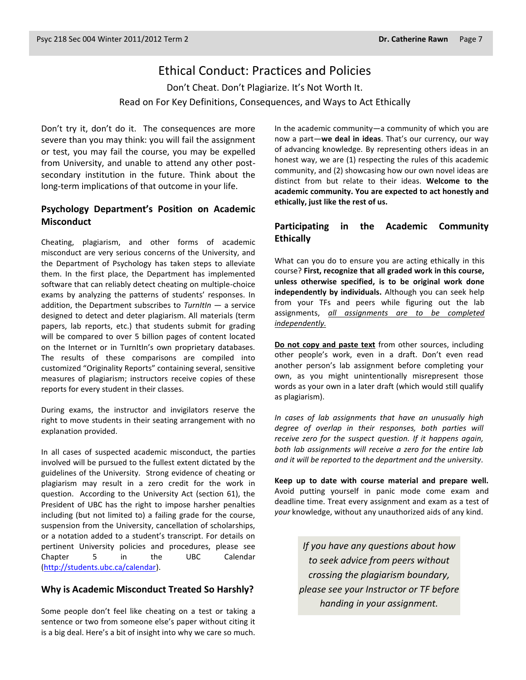### Ethical Conduct: Practices and Policies

Don't Cheat. Don't Plagiarize. It's Not Worth It. Read on For Key Definitions, Consequences, and Ways to Act Ethically

Don't try it, don't do it. The consequences are more severe than you may think: you will fail the assignment or test, you may fail the course, you may be expelled from University, and unable to attend any other postsecondary institution in the future. Think about the long-term implications of that outcome in your life.

### **Psychology Department's Position on Academic Misconduct**

Cheating, plagiarism, and other forms of academic misconduct are very serious concerns of the University, and the Department of Psychology has taken steps to alleviate them. In the first place, the Department has implemented software that can reliably detect cheating on multiple-choice exams by analyzing the patterns of students' responses. In addition, the Department subscribes to *TurnItIn* — a service designed to detect and deter plagiarism. All materials (term papers, lab reports, etc.) that students submit for grading will be compared to over 5 billion pages of content located on the Internet or in TurnItIn's own proprietary databases. The results of these comparisons are compiled into customized "Originality Reports" containing several, sensitive measures of plagiarism; instructors receive copies of these reports for every student in their classes.

During exams, the instructor and invigilators reserve the right to move students in their seating arrangement with no explanation provided.

In all cases of suspected academic misconduct, the parties involved will be pursued to the fullest extent dictated by the guidelines of the University. Strong evidence of cheating or plagiarism may result in a zero credit for the work in question. According to the University Act (section 61), the President of UBC has the right to impose harsher penalties including (but not limited to) a failing grade for the course, suspension from the University, cancellation of scholarships, or a notation added to a student's transcript. For details on pertinent University policies and procedures, please see Chapter 5 in the UBC Calendar [\(http://students.ubc.ca/calendar\)](http://students.ubc.ca/calendar).

#### **Why is Academic Misconduct Treated So Harshly?**

Some people don't feel like cheating on a test or taking a sentence or two from someone else's paper without citing it is a big deal. Here's a bit of insight into why we care so much.

In the academic community—a community of which you are now a part—**we deal in ideas**. That's our currency, our way of advancing knowledge. By representing others ideas in an honest way, we are (1) respecting the rules of this academic community, and (2) showcasing how our own novel ideas are distinct from but relate to their ideas. **Welcome to the academic community. You are expected to act honestly and ethically, just like the rest of us.**

### **Participating in the Academic Community Ethically**

What can you do to ensure you are acting ethically in this course? **First, recognize that all graded work in this course, unless otherwise specified, is to be original work done independently by individuals.** Although you can seek help from your TFs and peers while figuring out the lab assignments, *all assignments are to be completed independently.*

**Do not copy and paste text** from other sources, including other people's work, even in a draft. Don't even read another person's lab assignment before completing your own, as you might unintentionally misrepresent those words as your own in a later draft (which would still qualify as plagiarism).

*In cases of lab assignments that have an unusually high degree of overlap in their responses, both parties will receive zero for the suspect question. If it happens again, both lab assignments will receive a zero for the entire lab and it will be reported to the department and the university.*

**Keep up to date with course material and prepare well.** Avoid putting yourself in panic mode come exam and deadline time. Treat every assignment and exam as a test of *your* knowledge, without any unauthorized aids of any kind.

> *If you have any questions about how to seek advice from peers without crossing the plagiarism boundary, please see your Instructor or TF before handing in your assignment.*